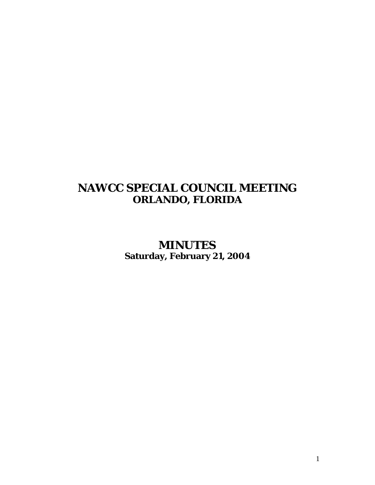# **NAWCC SPECIAL COUNCIL MEETING ORLANDO, FLORIDA**

**MINUTES Saturday, February 21, 2004**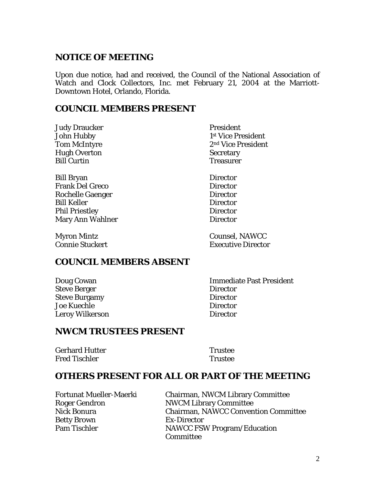#### **NOTICE OF MEETING**

Upon due notice, had and received, the Council of the National Association of Watch and Clock Collectors, Inc. met February 21, 2004 at the Marriott-Downtown Hotel, Orlando, Florida.

#### **COUNCIL MEMBERS PRESENT**

**Judy Draucker President** Hugh Overton Secretary Bill Curtin Treasurer

Bill Bryan Director Frank Del Greco Director Rochelle Gaenger Director Bill Keller Director Phil Priestley Director Mary Ann Wahlner **Director** 

John Hubby 1<sup>st</sup> Vice President Tom McIntyre 2nd Vice President

Myron Mintz Counsel, NAWCC **Connie Stuckert Executive Director** 

#### **COUNCIL MEMBERS ABSENT**

Steve Berger **Director** Steve Burgamy Director Joe Kuechle Director Leroy Wilkerson Director

Doug Cowan Immediate Past President

#### **NWCM TRUSTEES PRESENT**

| <b>Gerhard Hutter</b> | <b>Trustee</b> |
|-----------------------|----------------|
| Fred Tischler         | <b>Trustee</b> |

#### **OTHERS PRESENT FOR ALL OR PART OF THE MEETING**

Betty Brown Ex-Director

Fortunat Mueller-Maerki Chairman, NWCM Library Committee Roger Gendron NWCM Library Committee Nick Bonura Chairman, NAWCC Convention Committee Pam Tischler NAWCC FSW Program/Education **Committee**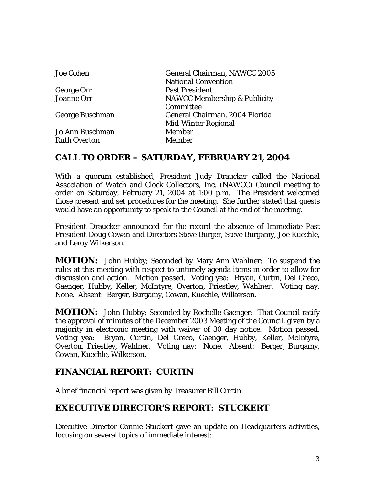| General Chairman, NAWCC 2005<br><b>National Convention</b> |
|------------------------------------------------------------|
| <b>Past President</b>                                      |
| <b>NAWCC Membership &amp; Publicity</b>                    |
| Committee                                                  |
| General Chairman, 2004 Florida                             |
| <b>Mid-Winter Regional</b>                                 |
| <b>Member</b>                                              |
| <b>Member</b>                                              |
|                                                            |

#### **CALL TO ORDER – SATURDAY, FEBRUARY 21, 2004**

With a quorum established, President Judy Draucker called the National Association of Watch and Clock Collectors, Inc. (NAWCC) Council meeting to order on Saturday, February 21, 2004 at 1:00 p.m. The President welcomed those present and set procedures for the meeting. She further stated that guests would have an opportunity to speak to the Council at the end of the meeting.

President Draucker announced for the record the absence of Immediate Past President Doug Cowan and Directors Steve Burger, Steve Burgamy, Joe Kuechle, and Leroy Wilkerson.

**MOTION:** John Hubby; Seconded by Mary Ann Wahlner: To suspend the rules at this meeting with respect to untimely agenda items in order to allow for discussion and action. Motion passed. Voting yea: Bryan, Curtin, Del Greco, Gaenger, Hubby, Keller, McIntyre, Overton, Priestley, Wahlner. Voting nay: None. Absent: Berger, Burgamy, Cowan, Kuechle, Wilkerson.

**MOTION:** John Hubby; Seconded by Rochelle Gaenger: That Council ratify the approval of minutes of the December 2003 Meeting of the Council, given by a majority in electronic meeting with waiver of 30 day notice. Motion passed. Voting yea: Bryan, Curtin, Del Greco, Gaenger, Hubby, Keller, McIntyre, Overton, Priestley, Wahlner. Voting nay: None. Absent: Berger, Burgamy, Cowan, Kuechle, Wilkerson.

# **FINANCIAL REPORT: CURTIN**

A brief financial report was given by Treasurer Bill Curtin.

# **EXECUTIVE DIRECTOR'S REPORT: STUCKERT**

Executive Director Connie Stuckert gave an update on Headquarters activities, focusing on several topics of immediate interest: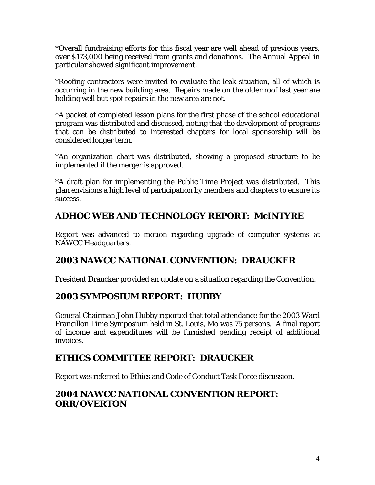\*Overall fundraising efforts for this fiscal year are well ahead of previous years, over \$173,000 being received from grants and donations. The Annual Appeal in particular showed significant improvement.

\*Roofing contractors were invited to evaluate the leak situation, all of which is occurring in the new building area. Repairs made on the older roof last year are holding well but spot repairs in the new area are not.

\*A packet of completed lesson plans for the first phase of the school educational program was distributed and discussed, noting that the development of programs that can be distributed to interested chapters for local sponsorship will be considered longer term.

\*An organization chart was distributed, showing a proposed structure to be implemented if the merger is approved.

\*A draft plan for implementing the Public Time Project was distributed. This plan envisions a high level of participation by members and chapters to ensure its success.

# **ADHOC WEB AND TECHNOLOGY REPORT: McINTYRE**

Report was advanced to motion regarding upgrade of computer systems at NAWCC Headquarters.

# **2003 NAWCC NATIONAL CONVENTION: DRAUCKER**

President Draucker provided an update on a situation regarding the Convention.

# **2003 SYMPOSIUM REPORT: HUBBY**

General Chairman John Hubby reported that total attendance for the 2003 Ward Francillon Time Symposium held in St. Louis, Mo was 75 persons. A final report of income and expenditures will be furnished pending receipt of additional invoices.

# **ETHICS COMMITTEE REPORT: DRAUCKER**

Report was referred to Ethics and Code of Conduct Task Force discussion.

# **2004 NAWCC NATIONAL CONVENTION REPORT: ORR/OVERTON**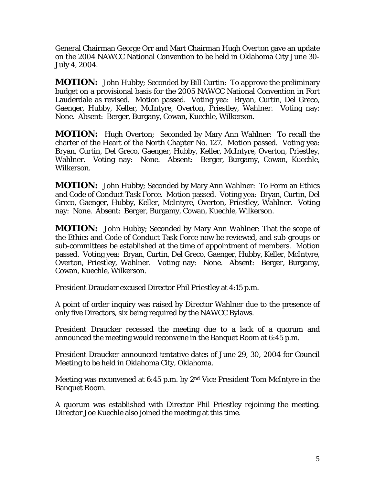General Chairman George Orr and Mart Chairman Hugh Overton gave an update on the 2004 NAWCC National Convention to be held in Oklahoma City June 30- July 4, 2004.

**MOTION:** John Hubby; Seconded by Bill Curtin: To approve the preliminary budget on a provisional basis for the 2005 NAWCC National Convention in Fort Lauderdale as revised. Motion passed. Voting yea: Bryan, Curtin, Del Greco, Gaenger, Hubby, Keller, McIntyre, Overton, Priestley, Wahlner. Voting nay: None. Absent: Berger, Burgany, Cowan, Kuechle, Wilkerson.

**MOTION:** Hugh Overton; Seconded by Mary Ann Wahlner: To recall the charter of the Heart of the North Chapter No. 127. Motion passed. Voting yea: Bryan, Curtin, Del Greco, Gaenger, Hubby, Keller, McIntyre, Overton, Priestley, Wahlner. Voting nay: None. Absent: Berger, Burgamy, Cowan, Kuechle, Wilkerson.

**MOTION:** John Hubby; Seconded by Mary Ann Wahlner: To Form an Ethics and Code of Conduct Task Force. Motion passed. Voting yea: Bryan, Curtin, Del Greco, Gaenger, Hubby, Keller, McIntyre, Overton, Priestley, Wahlner. Voting nay: None. Absent: Berger, Burgamy, Cowan, Kuechle, Wilkerson.

**MOTION:** John Hubby; Seconded by Mary Ann Wahlner: That the scope of the Ethics and Code of Conduct Task Force now be reviewed, and sub-groups or sub-committees be established at the time of appointment of members. Motion passed. Voting yea: Bryan, Curtin, Del Greco, Gaenger, Hubby, Keller, McIntyre, Overton, Priestley, Wahlner. Voting nay: None. Absent: Berger, Burgamy, Cowan, Kuechle, Wilkerson.

President Draucker excused Director Phil Priestley at 4:15 p.m.

A point of order inquiry was raised by Director Wahlner due to the presence of only five Directors, six being required by the NAWCC Bylaws.

President Draucker recessed the meeting due to a lack of a quorum and announced the meeting would reconvene in the Banquet Room at 6:45 p.m.

President Draucker announced tentative dates of June 29, 30, 2004 for Council Meeting to be held in Oklahoma City, Oklahoma.

Meeting was reconvened at 6:45 p.m. by 2nd Vice President Tom McIntyre in the Banquet Room.

A quorum was established with Director Phil Priestley rejoining the meeting. Director Joe Kuechle also joined the meeting at this time.